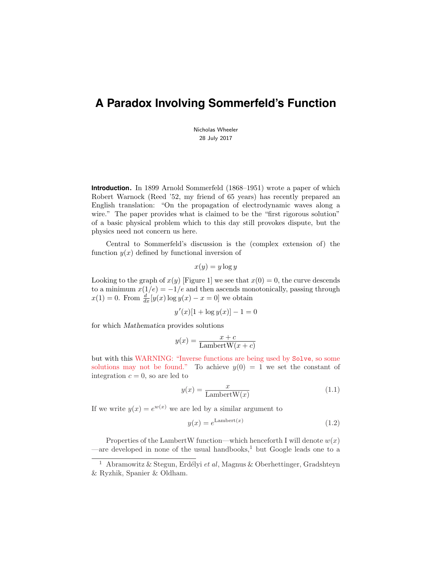# **A Paradox Involving Sommerfeld's Function**

Nicholas Wheeler 28 July 2017

**Introduction.** In 1899 Arnold Sommerfeld (1868–1951) wrote a paper of which Robert Warnock (Reed '52, my friend of 65 years) has recently prepared an English translation: "On the propagation of electrodynamic waves along a wire." The paper provides what is claimed to be the "first rigorous solution" of a basic physical problem which to this day still provokes dispute, but the physics need not concern us here.

Central to Sommerfeld's discussion is the (complex extension of) the function  $y(x)$  defined by functional inversion of

$$
x(y) = y \log y
$$

Looking to the graph of  $x(y)$  [Figure 1] we see that  $x(0) = 0$ , the curve descends to a minimum  $x(1/e) = -1/e$  and then ascends monotonically, passing through  $x(1) = 0$ . From  $\frac{d}{dx}[y(x)\log y(x) - x = 0]$  we obtain

$$
y'(x)[1 + \log y(x)] - 1 = 0
$$

for which Mathematica provides solutions

$$
y(x) = \frac{x + c}{\text{LambertW}(x + c)}
$$

but with this WARNING: "Inverse functions are being used by Solve, so some solutions may not be found." To achieve  $y(0) = 1$  we set the constant of integration  $c = 0$ , so are led to

$$
y(x) = \frac{x}{\text{LambertW}(x)}\tag{1.1}
$$

If we write  $y(x) = e^{w(x)}$  we are led by a similar argument to

$$
y(x) = e^{\text{Lambert}(x)}\tag{1.2}
$$

Properties of the LambertW function—which henceforth I will denote  $w(x)$ —are developed in none of the usual handbooks,<sup>1</sup> but Google leads one to a

<sup>&</sup>lt;sup>1</sup> Abramowitz & Stegun, Erdélyi et al, Magnus & Oberhettinger, Gradshteyn & Ryzhik, Spanier & Oldham.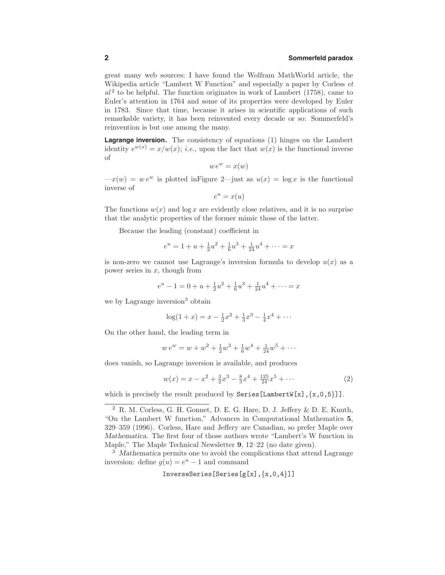# **2 Sommerfeld paradox**

great many web sources; I have found the Wolfram MathWorld article, the Wikipedia article "Lambert W Function" and especially a paper by Corless et  $al<sup>2</sup>$  to be helpful. The function originates in work of Lambert (1758), came to Euler's attention in 1764 and some of its properties were developed by Euler in 1783. Since that time, because it arises in scientific applications of such remarkable variety, it has been reinvented every decade or so: Sommerfeld's reinvention is but one among the many.

**Lagrange inversion.** The consistency of equations (1) hinges on the Lambert identity  $e^{w(x)} = x/w(x)$ ; *i.e.*, upon the fact that  $w(x)$  is the functional inverse of

$$
we^w = x(w)
$$

 $-x(w) = w e^w$  is plotted in Figure 2—just as  $u(x) = \log x$  is the functional inverse of

$$
e^u = x(u)
$$

The functions  $w(x)$  and  $\log x$  are evidently close relatives, and it is no surprise that the analytic properties of the former mimic those of the latter.

Because the leading (constant) coefficient in

$$
e^{u} = 1 + u + \frac{1}{2}u^{2} + \frac{1}{6}u^{3} + \frac{1}{24}u^{4} + \dots = x
$$

is non-zero we cannot use Lagrange's inversion formula to develop  $u(x)$  as a power series in  $x$ , though from

$$
e^{u} - 1 = 0 + u + \frac{1}{2}u^{2} + \frac{1}{6}u^{3} + \frac{1}{24}u^{4} + \dots = x
$$

we by Lagrange inversion<sup>3</sup> obtain

$$
\log(1+x) = x - \frac{1}{2}x^2 + \frac{1}{3}x^3 - \frac{1}{4}x^4 + \cdots
$$

On the other hand, the leading term in

$$
w e^{w} = w + w^{2} + \frac{1}{2}w^{3} + \frac{1}{6}w^{4} + \frac{1}{24}w^{5} + \cdots
$$

does vanish, so Lagrange inversion is available, and produces

$$
w(x) = x - x^{2} + \frac{3}{2}x^{3} - \frac{8}{3}x^{4} + \frac{125}{24}x^{5} + \cdots
$$
 (2)

which is precisely the result produced by Series [LambertW[x],  $\{x, 0, 5\}$ ].

InverseSeries[Series[g[x],{x,0,4}]]

<sup>2</sup> R. M. Corless, G. H. Gonnet, D. E. G. Hare, D. J. Jeffery & D. E. Knuth, "On the Lambert W function," Advances in Computational Mathematics 5, 329–359 (1996). Corless, Hare and Jeffery are Canadian, so prefer Maple over Mathematica. The first four of those authors wrote "Lambert's W function in Maple," The Maple Technical Newsletter 9, 12–22 (no date given).

<sup>&</sup>lt;sup>3</sup> Mathematica permits one to avoid the complications that attend Lagrange inversion: define  $g(u) = e^u - 1$  and command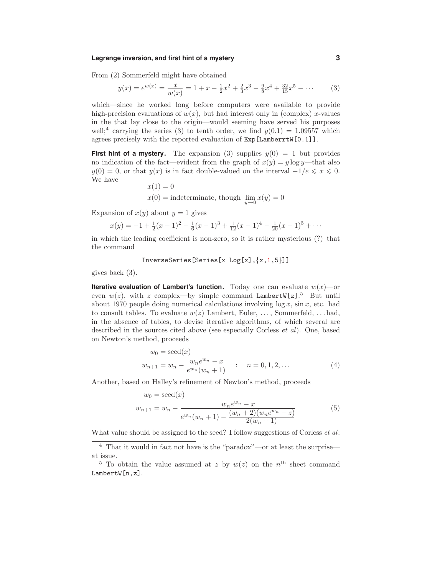# **Lagrange inversion, and first hint of a mystery 3**

From (2) Sommerfeld might have obtained

$$
y(x) = e^{w(x)} = \frac{x}{w(x)} = 1 + x - \frac{1}{2}x^2 + \frac{2}{3}x^3 - \frac{9}{8}x^4 + \frac{32}{15}x^5 - \dotsb
$$
 (3)

which—since he worked long before computers were available to provide high-precision evaluations of  $w(x)$ , but had interest only in (complex) x-values in the that lay close to the origin—would seeming have served his purposes well;<sup>4</sup> carrying the series (3) to tenth order, we find  $y(0.1) = 1.09557$  which agrees precisely with the reported evaluation of Exp[LamberrtW[0.1]].

**First hint of a mystery.** The expansion (3) supplies  $y(0) = 1$  but provides no indication of the fact—evident from the graph of  $x(y) = y \log y$ —that also  $y(0) = 0$ , or that  $y(x)$  is in fact double-valued on the interval  $-1/e \le x \le 0$ . We have

$$
x(1) = 0
$$
  

$$
x(0) = \text{indeterminate}, \text{ though } \lim_{y \to 0} x(y) = 0
$$

Expansion of  $x(y)$  about  $y = 1$  gives

$$
x(y) = -1 + \frac{1}{2}(x-1)^2 - \frac{1}{6}(x-1)^3 + \frac{1}{12}(x-1)^4 - \frac{1}{20}(x-1)^5 + \cdots
$$

in which the leading coefficient is non-zero, so it is rather mysterious (?) that the command

InverseSeries[Series[x  $Log[x], {x, 1, 5}]$ ]

gives back (3).

**Iterative evaluation of Lambert's function.** Today one can evaluate  $w(x)$ —or even  $w(z)$ , with z complex—by simple command LambertW[z].<sup>5</sup> But until about 1970 people doing numerical calculations involving  $\log x$ ,  $\sin x$ , etc. had to consult tables. To evaluate  $w(z)$  Lambert, Euler, ..., Sommerfeld, ... had, in the absence of tables, to devise iterative algorithms, of which several are described in the sources cited above (see especially Corless *et al*). One, based on Newton's method, proceeds

$$
w_0 = \text{seed}(x)
$$
  

$$
w_{n+1} = w_n - \frac{w_n e^{w_n} - x}{e^{w_n}(w_n + 1)} \qquad : \qquad n = 0, 1, 2, \dots
$$
 (4)

Another, based on Halley's refinement of Newton's method, proceeds

$$
w_0 = \text{seed}(x)
$$
  
\n
$$
w_{n+1} = w_n - \frac{w_n e^{w_n} - x}{e^{w_n}(w_n + 1) - \frac{(w_n + 2)(w_n e^{w_n} - z)}{2(w_n + 1)}}
$$
\n(5)

What value should be assigned to the seed? I follow suggestions of Corless *et al:* 

 $^4\,$  That it would in fact not have is the "paradox"—or at least the surprise at issue.

<sup>&</sup>lt;sup>5</sup> To obtain the value assumed at z by  $w(z)$  on the n<sup>th</sup> sheet command LambertW[n,z].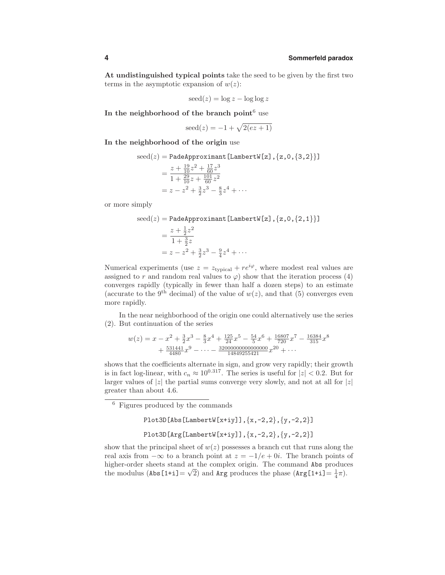## **4 Sommerfeld paradox**

At undistinguished typical points take the seed to be given by the first two terms in the asymptotic expansion of  $w(z)$ :

$$
seed(z) = \log z - \log \log z
$$

In the neighborhood of the branch point $6$  use

$$
\operatorname{seed}(z) = -1 + \sqrt{2(ez+1)}
$$

In the neighborhood of the origin use

$$
\begin{aligned}\n\text{seed}(z) &= \text{PadeApproximant} \left[ \text{LambertW}[z] \right], \{z, 0, \{3, 2\} \} \\
&= \frac{z + \frac{19}{10} z^2 + \frac{17}{60} z^3}{1 + \frac{29}{60} z + \frac{101}{60} z^2} \\
&= z - z^2 + \frac{3}{2} z^3 - \frac{8}{3} z^4 + \cdots\n\end{aligned}
$$

or more simply

$$
\text{seed}(z) = \text{PadeApproximant} \left[ \text{LambertW}[z] \right], \{z, 0, \{2, 1\} \} \right]
$$
\n
$$
= \frac{z + \frac{1}{2}z^2}{1 + \frac{3}{2}z}
$$
\n
$$
= z - z^2 + \frac{3}{2}z^3 - \frac{9}{4}z^4 + \cdots
$$

Numerical experiments (use  $z = z_{\text{typical}} + re^{i\varphi}$ , where modest real values are assigned to r and random real values to  $\varphi$ ) show that the iteration process (4) converges rapidly (typically in fewer than half a dozen steps) to an estimate (accurate to the 9<sup>th</sup> decimal) of the value of  $w(z)$ , and that (5) converges even more rapidly.

In the near neighborhood of the origin one could alternatively use the series (2). But continuation of the series

$$
w(z) = x - x^{2} + \frac{3}{2}x^{3} - \frac{8}{3}x^{4} + \frac{125}{24}x^{5} - \frac{54}{5}x^{6} + \frac{16807}{720}x^{7} - \frac{16384}{315}x^{8} + \frac{531441}{4480}x^{9} - \cdots - \frac{320000000000000000}{14849255421}x^{20} + \cdots
$$

shows that the coefficients alternate in sign, and grow very rapidly; their growth is in fact log-linear, with  $c_n \approx 10^{0.317}$ . The series is useful for  $|z| < 0.2$ . But for larger values of |z| the partial sums converge very slowly, and not at all for  $|z|$ greater than about 4.6.

<sup>6</sup> Figures produced by the commands

$$
\text{Plot3D[Abs[LambertW[x+iy]], {x,-2,2}, {y,-2,2}]}
$$

Plot3D[Arg[LambertW[x+iy]],  $\{x,-2,2\}$ ,  $\{y,-2,2\}$ ]

show that the principal sheet of  $w(z)$  possesses a branch cut that runs along the real axis from  $-\infty$  to a branch point at  $z = -1/e + 0i$ . The branch points of higher-order sheets stand at the complex origin. The command Abs produces the modulus (Abs  $[1+i] = \sqrt{2}$ ) and Arg produces the phase  $(\text{Arg}[1+i] = \frac{1}{4}\pi)$ .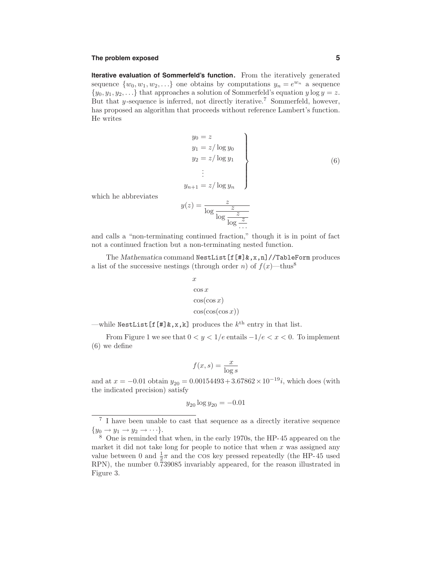## **The problem exposed 5**

**Iterative evaluation of Sommerfeld's function.** From the iteratively generated sequence  $\{w_0, w_1, w_2, \ldots\}$  one obtains by computations  $y_n = e^{w_n}$  a sequence  $\{y_0, y_1, y_2, \ldots\}$  that approaches a solution of Sommerfeld's equation y log  $y = z$ . But that  $\gamma$ -sequence is inferred, not directly iterative.<sup>7</sup> Sommerfeld, however, has proposed an algorithm that proceeds without reference Lambert's function. He writes

$$
y_0 = z \n y_1 = z/\log y_0 \n y_2 = z/\log y_1 \n \vdots \n y_{n+1} = z/\log y_n
$$
\n
$$
(6)
$$

which he abbreviates

$$
y(z) = \frac{z}{\log \frac{z}{\log \frac{z}{\log z}}}
$$

and calls a "non-terminating continued fraction," though it is in point of fact not a continued fraction but a non-terminating nested function.

The Mathematica command NestList [f[#] &, x,n]//TableForm produces a list of the successive nestings (through order n) of  $f(x)$ —thus<sup>8</sup>

$$
x
$$
  
\n
$$
\cos x
$$
  
\n
$$
\cos(\cos x)
$$
  
\n
$$
\cos(\cos(\cos x))
$$

—while NestList  $[f[\#]\&,x,k]$  produces the  $k^{\text{th}}$  entry in that list.

From Figure 1 we see that  $0 < y < 1/e$  entails  $-1/e < x < 0$ . To implement (6) we define

$$
f(x,s) = \frac{x}{\log s}
$$

and at  $x = -0.01$  obtain  $y_{20} = 0.00154493 + 3.67862 \times 10^{-19}i$ , which does (with the indicated precision) satisfy

$$
y_{20} \log y_{20} = -0.01
$$

<sup>7</sup> I have been unable to cast that sequence as a directly iterative sequence  $\{y_0 \to y_1 \to y_2 \to \cdots\}.$ <br><sup>8</sup> One is reminded that when, in the early 1970s, the HP-45 appeared on the

market it did not take long for people to notice that when  $x$  was assigned any value between 0 and  $\frac{1}{2}\pi$  and the cos key pressed repeatedly (the HP-45 used RPN), the number 0.739085 invariably appeared, for the reason illustrated in Figure 3.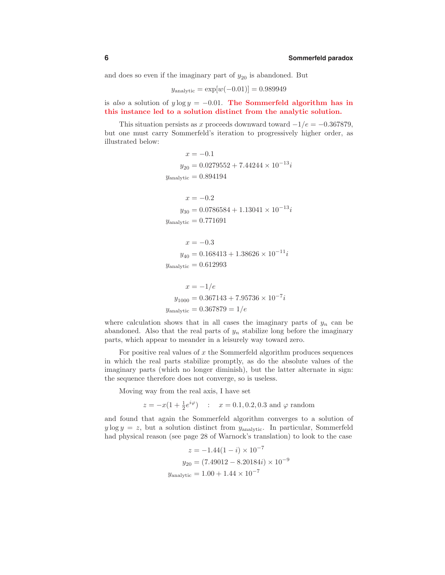and does so even if the imaginary part of  $y_{20}$  is abandoned. But

$$
y_{\text{analytic}} = \exp[w(-0.01)] = 0.989949
$$

is also a solution of  $y \log y = -0.01$ . The Sommerfeld algorithm has in this instance led to a solution distinct from the analytic solution.

This situation persists as x proceeds downward toward  $-1/e = -0.367879$ , but one must carry Sommerfeld's iteration to progressively higher order, as illustrated below:

$$
x = -0.1
$$
  
\n
$$
y_{20} = 0.0279552 + 7.44244 \times 10^{-13}i
$$
  
\n
$$
y_{\text{analytic}} = 0.894194
$$
  
\n
$$
x = -0.2
$$
  
\n
$$
y_{30} = 0.0786584 + 1.13041 \times 10^{-13}i
$$

$$
y_{\rm analytic} = 0.771691
$$

$$
x = -0.3
$$
  
\n
$$
y_{40} = 0.168413 + 1.38626 \times 10^{-11}i
$$
  
\n
$$
y_{\text{analytic}} = 0.612993
$$

$$
x = -1/e
$$
  

$$
y_{1000} = 0.367143 + 7.95736 \times 10^{-7}i
$$
  

$$
y_{\text{analytic}} = 0.367879 = 1/e
$$

where calculation shows that in all cases the imaginary parts of  $y_n$  can be abandoned. Also that the real parts of  $y_n$  stabilize long before the imaginary parts, which appear to meander in a leisurely way toward zero.

For positive real values of  $x$  the Sommerfeld algorithm produces sequences in which the real parts stabilize promptly, as do the absolute values of the imaginary parts (which no longer diminish), but the latter alternate in sign: the sequence therefore does not converge, so is useless.

Moving way from the real axis, I have set

 $z = -x(1 + \frac{1}{2}e^{i\varphi})$  :  $x = 0.1, 0.2, 0.3$  and  $\varphi$  random

and found that again the Sommerfeld algorithm converges to a solution of  $y \log y = z$ , but a solution distinct from  $y_{\text{analytic}}$ . In particular, Sommerfeld had physical reason (see page 28 of Warnock's translation) to look to the case

$$
z = -1.44(1 - i) \times 10^{-7}
$$

$$
y_{20} = (7.49012 - 8.20184i) \times 10^{-9}
$$

$$
y_{\text{analytic}} = 1.00 + 1.44 \times 10^{-7}
$$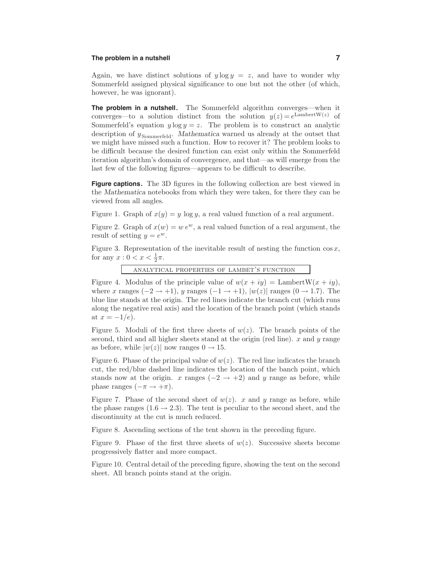# **The problem in a nutshell 7**

Again, we have distinct solutions of  $y \log y = z$ , and have to wonder why Sommerfeld assigned physical significance to one but not the other (of which, however, he was ignorant).

**The problem in a nutshell.** The Sommerfeld algorithm converges—when it converges—to a solution distinct from the solution  $y(z) = e^{\text{LambertW}(z)}$  of Sommerfeld's equation  $y \log y = z$ . The problem is to construct an analytic description of  $y_{\text{Sommerfeld}}$ . Mathematica warned us already at the outset that we might have missed such a function. How to recover it? The problem looks to be difficult because the desired function can exist only within the Sommerfeld iteration algorithm's domain of convergence, and that—as will emerge from the last few of the following figures—appears to be difficult to describe.

**Figure captions.** The 3D figures in the following collection are best viewed in the Mathematica notebooks from which they were taken, for there they can be viewed from all angles.

Figure 1. Graph of  $x(y) = y \log y$ , a real valued function of a real argument.

Figure 2. Graph of  $x(w) = w e^w$ , a real valued function of a real argument, the result of setting  $y = e^w$ .

Figure 3. Representation of the inevitable result of nesting the function  $\cos x$ , for any  $x: 0 < x < \frac{1}{2}\pi$ .

analytical properties of lambet's function

Figure 4. Modulus of the principle value of  $w(x + iy) =$  LambertW $(x + iy)$ , where x ranges  $(-2 \rightarrow +1)$ , y ranges  $(-1 \rightarrow +1)$ ,  $|w(z)|$  ranges  $(0 \rightarrow 1.7)$ . The blue line stands at the origin. The red lines indicate the branch cut (which runs along the negative real axis) and the location of the branch point (which stands at  $x = -1/e$ ).

Figure 5. Moduli of the first three sheets of  $w(z)$ . The branch points of the second, third and all higher sheets stand at the origin (red line).  $x$  and  $y$  range as before, while  $|w(z)|$  now ranges  $0 \rightarrow 15$ .

Figure 6. Phase of the principal value of  $w(z)$ . The red line indicates the branch cut, the red/blue dashed line indicates the location of the banch point, which stands now at the origin. x ranges  $(-2 \rightarrow +2)$  and y range as before, while phase ranges  $(-\pi \rightarrow +\pi)$ .

Figure 7. Phase of the second sheet of  $w(z)$ . x and y range as before, while the phase ranges  $(1.6 \rightarrow 2.3)$ . The tent is peculiar to the second sheet, and the discontinuity at the cut is much reduced.

Figure 8. Ascending sections of the tent shown in the preceding figure.

Figure 9. Phase of the first three sheets of  $w(z)$ . Successive sheets become progressively flatter and more compact.

Figure 10. Central detail of the preceding figure, showing the tent on the second sheet. All branch points stand at the origin.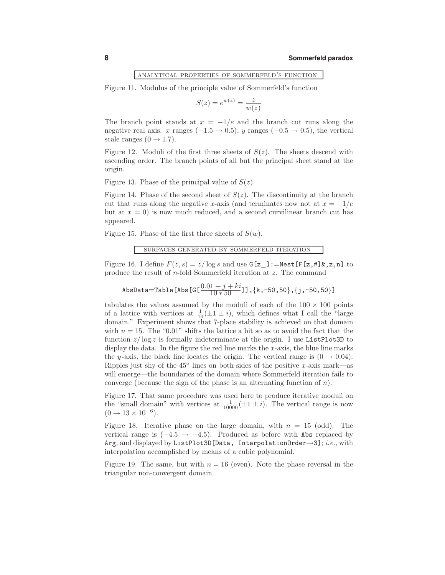## analytical properties of sommerfeld's function

Figure 11. Modulus of the principle value of Sommerfeld's function

$$
S(z) = e^{w(z)} = \frac{z}{w(z)}
$$

The branch point stands at  $x = -1/e$  and the branch cut runs along the negative real axis. x ranges  $(-1.5 \rightarrow 0.5)$ , y ranges  $(-0.5 \rightarrow 0.5)$ , the vertical scale ranges  $(0 \rightarrow 1.7)$ .

Figure 12. Moduli of the first three sheets of  $S(z)$ . The sheets descend with ascending order. The branch points of all but the principal sheet stand at the origin.

Figure 13. Phase of the principal value of  $S(z)$ .

Figure 14. Phase of the second sheet of  $S(z)$ . The discontinuity at the branch cut that runs along the negative x-axis (and terminates now not at  $x = -1/e$ but at  $x = 0$  is now much reduced, and a second curvilinear branch cut has appeared.

Figure 15. Phase of the first three sheets of  $S(w)$ .

## surfaces generated by sommerfeld iteration

Figure 16. I define  $F(z, s) = z/\log s$  and use  $G[z_]:=\text{Nest}[F[z, \#]\&, z, n]$  to produce the result of n-fold Sommerfeld iteration at z. The command

$$
\mathtt{AbsData} {=}\mathtt{Table[Abs\,[G[\frac{0.01+j+ki}{10*50}]]},\{k,-50,50\},\{j,-50,50\}]
$$

tabulates the values assumed by the moduli of each of the  $100 \times 100$  points of a lattice with vertices at  $\frac{1}{10}(\pm 1 \pm i)$ , which defines what I call the "large" domain." Experiment shows that 7-place stability is achieved on that domain with  $n = 15$ . The "0.01" shifts the lattice a bit so as to avoid the fact that the function  $z/\log z$  is formally indeterminate at the origin. I use ListPlot3D to display the data. In the figure the red line marks the  $x$ -axis, the blue line marks the y-axis, the black line locates the origin. The vertical range is  $(0 \rightarrow 0.04)$ . Ripples just shy of the  $45^\circ$  lines on both sides of the positive x-axis mark—as will emerge—the boundaries of the domain where Sommerfeld iteration fails to converge (because the sign of the phase is an alternating function of  $n$ ).

Figure 17. That same procedure was used here to produce iterative moduli on the "small domain" with vertices at  $\frac{1}{10000} (\pm 1 \pm i)$ . The vertical range is now  $(0 \rightarrow 13 \times 10^{-6}).$ 

Figure 18. Iterative phase on the large domain, with  $n = 15$  (odd). The vertical range is  $(-4.5 \rightarrow +4.5)$ . Produced as before with Abs replaced by Arg, and displayed by ListPlot3D[Data, InterpolationOrder→3]; i.e., with interpolation accomplished by means of a cubic polynomial.

Figure 19. The same, but with  $n = 16$  (even). Note the phase reversal in the triangular non-convergent domain.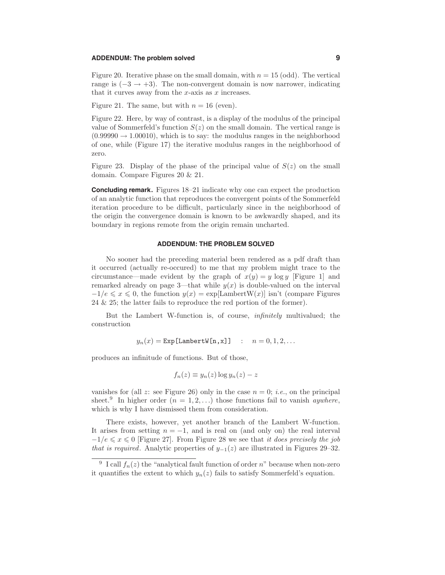## **ADDENDUM: The problem solved 9**

Figure 20. Iterative phase on the small domain, with  $n = 15$  (odd). The vertical range is  $(-3 \rightarrow +3)$ . The non-convergent domain is now narrower, indicating that it curves away from the  $x$ -axis as  $x$  increases.

Figure 21. The same, but with  $n = 16$  (even).

Figure 22. Here, by way of contrast, is a display of the modulus of the principal value of Sommerfeld's function  $S(z)$  on the small domain. The vertical range is  $(0.99990 \rightarrow 1.00010)$ , which is to say: the modulus ranges in the neighborhood of one, while (Figure 17) the iterative modulus ranges in the neighborhood of zero.

Figure 23. Display of the phase of the principal value of  $S(z)$  on the small domain. Compare Figures 20 & 21.

**Concluding remark.** Figures 18–21 indicate why one can expect the production of an analytic function that reproduces the convergent points of the Sommerfeld iteration procedure to be difficult, particularly since in the neighborhood of the origin the convergence domain is known to be awkwardly shaped, and its boundary in regions remote from the origin remain uncharted.

# **ADDENDUM: THE PROBLEM SOLVED**

No sooner had the preceding material been rendered as a pdf draft than it occurred (actually re-occured) to me that my problem might trace to the circumstance—made evident by the graph of  $x(y) = y \log y$  [Figure 1] and remarked already on page 3—that while  $y(x)$  is double-valued on the interval  $-1/e \leq x \leq 0$ , the function  $y(x) = \exp[\text{LambertW}(x)]$  isn't (compare Figures 24 & 25; the latter fails to reproduce the red portion of the former).

But the Lambert W-function is, of course, infinitely multivalued; the construction

$$
y_n(x) = \text{Exp}[\text{LambertW}[n, x]] \quad : \quad n = 0, 1, 2, \dots
$$

produces an infinitude of functions. But of those,

$$
f_n(z) \equiv y_n(z) \log y_n(z) - z
$$

vanishes for (all z: see Figure 26) only in the case  $n = 0$ ; *i.e.*, on the principal sheet.<sup>9</sup> In higher order  $(n = 1, 2, ...)$  those functions fail to vanish *aywhere*, which is why I have dismissed them from consideration.

There exists, however, yet another branch of the Lambert W-function. It arises from setting  $n = -1$ , and is real on (and only on) the real interval  $-1/e \leq x \leq 0$  [Figure 27]. From Figure 28 we see that it does precisely the job that is required. Analytic properties of  $y_{-1}(z)$  are illustrated in Figures 29–32.

<sup>&</sup>lt;sup>9</sup> I call  $f_n(z)$  the "analytical fault function of order n" because when non-zero it quantifies the extent to which  $y_n(z)$  fails to satisfy Sommerfeld's equation.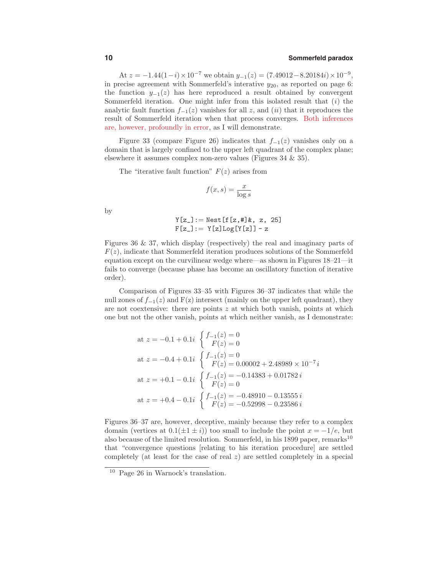## **10 Sommerfeld paradox**

At  $z = -1.44(1-i) \times 10^{-7}$  we obtain  $y_{-1}(z) = (7.49012-8.20184i) \times 10^{-9}$ , in precise agreement with Sommerfeld's interative  $y_{20}$ , as reported on page 6: the function  $y_{-1}(z)$  has here reproduced a result obtained by convergent Sommerfeld iteration. One might infer from this isolated result that  $(i)$  the analytic fault function  $f_{-1}(z)$  vanishes for all z, and  $(ii)$  that it reproduces the result of Sommerfeld iteration when that process converges. Both inferences are, however, profoundly in error, as I will demonstrate.

Figure 33 (compare Figure 26) indicates that  $f_{-1}(z)$  vanishes only on a domain that is largely confined to the upper left quadrant of the complex plane; elsewhere it assumes complex non-zero values (Figures 34 & 35).

The "iterative fault function"  $F(z)$  arises from

$$
f(x,s) = \frac{x}{\log s}
$$

by

$$
Y[z_]: = \text{Nest}[f[z, #]\&, z, 25]
$$
  
F[z\_]: = Y[z]Log[Y[z]] - z

Figures 36 & 37, which display (respectively) the real and imaginary parts of  $F(z)$ , indicate that Sommerfeld iteration produces solutions of the Sommerfeld equation except on the curvilinear wedge where—as shown in Figures 18–21—it fails to converge (because phase has become an oscillatory function of iterative order).

Comparison of Figures 33–35 with Figures 36–37 indicates that while the null zones of  $f_{-1}(z)$  and  $F(z)$  intersect (mainly on the upper left quadrant), they are not coextensive: there are points  $z$  at which both vanish, points at which one but not the other vanish, points at which neither vanish, as I demonstrate:

at 
$$
z = -0.1 + 0.1i
$$
 
$$
\begin{cases} f_{-1}(z) = 0 \\ F(z) = 0 \end{cases}
$$
  
at  $z = -0.4 + 0.1i$  
$$
\begin{cases} f_{-1}(z) = 0 \\ F(z) = 0.00002 + 2.48989 \times 10^{-7}i \end{cases}
$$
  
at  $z = +0.1 - 0.1i$  
$$
\begin{cases} f_{-1}(z) = -0.14383 + 0.01782i \\ F(z) = 0 \end{cases}
$$
  
at  $z = +0.4 - 0.1i$  
$$
\begin{cases} f_{-1}(z) = -0.48910 - 0.13555i \\ F(z) = -0.52998 - 0.23586i \end{cases}
$$

Figures 36–37 are, however, deceptive, mainly because they refer to a complex domain (vertices at  $0.1(\pm 1 \pm i)$ ) too small to include the point  $x = -1/e$ , but also because of the limited resolution. Sommerfeld, in his 1899 paper, remarks<sup>10</sup> that "convergence questions [relating to his iteration procedure] are settled completely (at least for the case of real  $z$ ) are settled completely in a special

<sup>10</sup> Page 26 in Warnock's translation.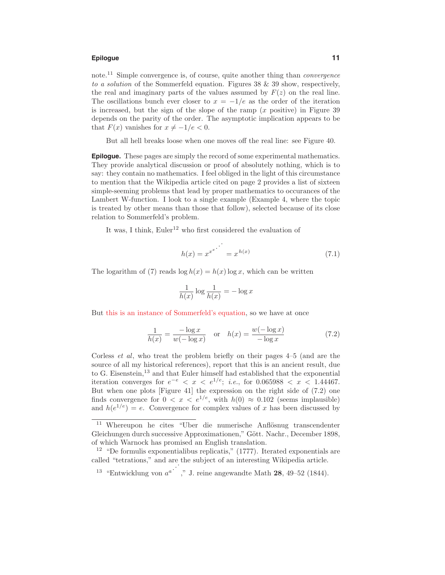## **Epilogue 11**

note.<sup>11</sup> Simple convergence is, of course, quite another thing than *convergence* to a solution of the Sommerfeld equation. Figures 38 & 39 show, respectively, the real and imaginary parts of the values assumed by  $F(z)$  on the real line. The oscillations bunch ever closer to  $x = -1/e$  as the order of the iteration is increased, but the sign of the slope of the ramp  $(x$  positive) in Figure 39 depends on the parity of the order. The asymptotic implication appears to be that  $F(x)$  vanishes for  $x \neq -1/e < 0$ .

But all hell breaks loose when one moves off the real line: see Figure 40.

**Epilogue.** These pages are simply the record of some experimental mathematics. They provide analytical discussion or proof of absolutely nothing, which is to say: they contain no mathematics. I feel obliged in the light of this circumstance to mention that the Wikipedia article cited on page 2 provides a list of sixteen simple-seeming problems that lead by proper mathematics to occurances of the Lambert W-function. I look to a single example (Example 4, where the topic is treated by other means than those that follow), selected because of its close relation to Sommerfeld's problem.

It was, I think,  $Euler<sup>12</sup>$  who first considered the evaluation of

$$
h(x) = x^{x^{x}} \qquad \qquad = x^{h(x)} \tag{7.1}
$$

The logarithm of (7) reads  $\log h(x) = h(x) \log x$ , which can be written

$$
\frac{1}{h(x)} \log \frac{1}{h(x)} = -\log x
$$

But this is an instance of Sommerfeld's equation, so we have at once

$$
\frac{1}{h(x)} = \frac{-\log x}{w(-\log x)} \quad \text{or} \quad h(x) = \frac{w(-\log x)}{-\log x} \tag{7.2}
$$

Corless et al, who treat the problem briefly on their pages 4–5 (and are the source of all my historical references), report that this is an ancient result, due to G. Eisenstein,<sup>13</sup> and that Euler himself had established that the exponential iteration converges for  $e^{-e}$  < x <  $e^{1/e}$ ; *i.e.*, for 0.065988 < x < 1.44467. But when one plots [Figure 41] the expression on the right side of (7.2) one finds convergence for  $0 < x < e^{1/e}$ , with  $h(0) \approx 0.102$  (seems implausible) and  $h(e^{1/e}) = e$ . Convergence for complex values of x has been discussed by

 $13$  "Entwicklung von  $a^a$ ", "J. reine angewandte Math 28, 49–52 (1844).

 $11$  Whereupon he cites "Uber die numerische Anflösnug transcendenter Gleichungen durch successive Approximationen," Gött. Nachr., December 1898, of which Warnock has promised an English translation.

 $12$  "De formulis exponentialibus replicatis," (1777). Iterated exponentials are called "tetrations," and are the subject of an interesting Wikipedia article.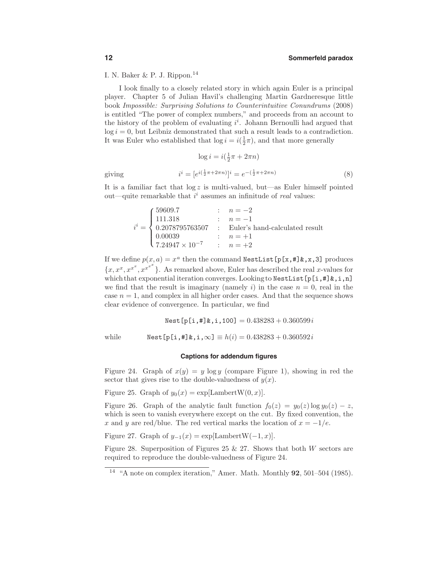I. N. Baker & P. J. Rippon.<sup>14</sup>

I look finally to a closely related story in which again Euler is a principal player. Chapter 5 of Julian Havil's challenging Martin Gardneresque little book Impossible: Surprising Solutions to Counterintuitive Conundrums (2008) is entitled "The power of complex numbers," and proceeds from an account to the history of the problem of evaluating  $i^i$ . Johann Bernoulli had argued that  $log i = 0$ , but Leibniz demonstrated that such a result leads to a contradiction. It was Euler who established that  $\log i = i(\frac{1}{2}\pi)$ , and that more generally

$$
\log i = i(\frac{1}{2}\pi + 2\pi n)
$$
  

$$
i^i = [e^{i(\frac{1}{2}\pi + 2\pi n)}]^i = e^{-(\frac{1}{2}\pi + 2\pi n)}
$$
 (8)

giving

It is a familiar fact that  $log z$  is multi-valued, but—as Euler himself pointed out—quite remarkable that  $i^i$  assumes an infinitude of *real* values:

$$
i^{i} = \begin{cases} 59609.7 & : & n = -2 \\ 111.318 & : & n = -1 \\ 0.2078795763507 & : & \text{Euler's hand-calculated result} \\ 0.00039 & : & n = +1 \\ 7.24947 \times 10^{-7} & : & n = +2 \end{cases}
$$

If we define  $p(x, a) = x^a$  then the command NestList  $[p[x, #] & , x, 3]$  produces  ${x, x^x, x^{x^x}, x^{x^{x^x}}}$ . As remarked above, Euler has described the real x-values for which that exponential iteration converges. Looking to NestList[p[i,#]&,i,n] we find that the result is imaginary (namely i) in the case  $n = 0$ , real in the case  $n = 1$ , and complex in all higher order cases. And that the sequence shows clear evidence of convergence. In particular, we find

 $Nest[p[i, #] & i, 100] = 0.438283 + 0.360599i$ 

while  $Nest[p[i, #] & i, \infty] \equiv h(i) = 0.438283 + 0.360592i$ 

#### **Captions for addendum figures**

Figure 24. Graph of  $x(y) = y \log y$  (compare Figure 1), showing in red the sector that gives rise to the double-valuedness of  $y(x)$ .

Figure 25. Graph of  $y_0(x) = \exp[\text{LambertW}(0, x)].$ 

Figure 26. Graph of the analytic fault function  $f_0(z) = y_0(z) \log y_0(z) - z$ , which is seen to vanish everywhere except on the cut. By fixed convention, the x and y are red/blue. The red vertical marks the location of  $x = -1/e$ .

Figure 27. Graph of  $y_{-1}(x) = \exp[\text{LambertW}(-1, x)].$ 

Figure 28. Superposition of Figures 25  $\&$  27. Shows that both W sectors are required to reproduce the double-valuedness of Figure 24.

<sup>14</sup> "A note on complex iteration," Amer. Math. Monthly 92, 501–504 (1985).